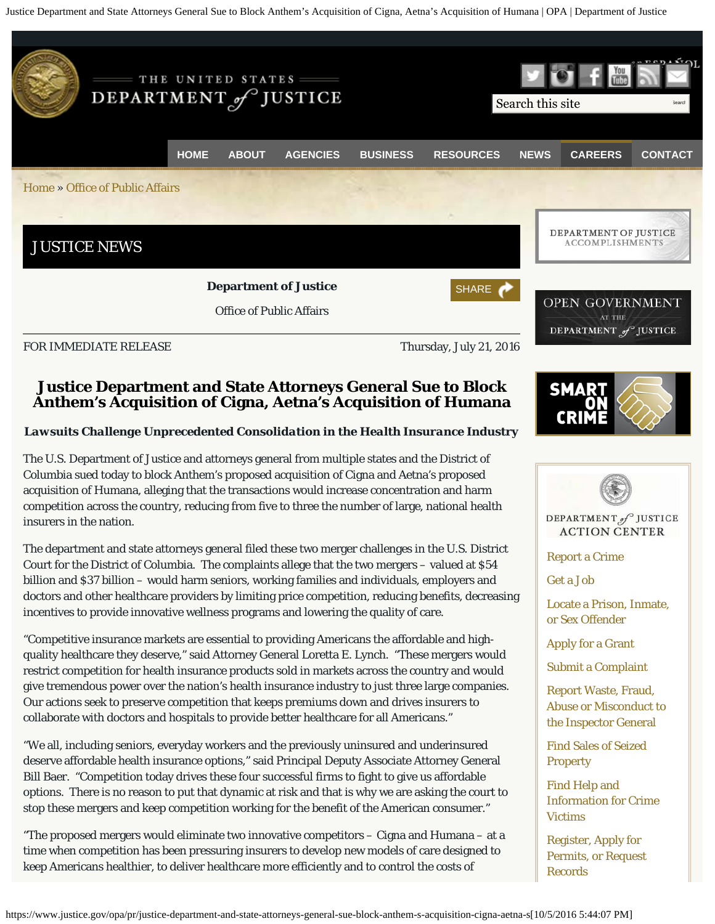Justice Department and State Attorneys General Sue to Block Anthem's Acquisition of Cigna, Aetna's Acquisition of Humana | OPA | Department of Justice



# **Justice Department and State Attorneys General Sue to Block Anthem's Acquisition of Cigna, Aetna's Acquisition of Humana**

### *Lawsuits Challenge Unprecedented Consolidation in the Health Insurance Industry*

The U.S. Department of Justice and attorneys general from multiple states and the District of Columbia sued today to block Anthem's proposed acquisition of Cigna and Aetna's proposed acquisition of Humana, alleging that the transactions would increase concentration and harm competition across the country, reducing from five to three the number of large, national health insurers in the nation.

The department and state attorneys general filed these two merger challenges in the U.S. District Court for the District of Columbia. The complaints allege that the two mergers – valued at \$54 billion and \$37 billion – would harm seniors, working families and individuals, employers and doctors and other healthcare providers by limiting price competition, reducing benefits, decreasing incentives to provide innovative wellness programs and lowering the quality of care.

"Competitive insurance markets are essential to providing Americans the affordable and highquality healthcare they deserve," said Attorney General Loretta E. Lynch. "These mergers would restrict competition for health insurance products sold in markets across the country and would give tremendous power over the nation's health insurance industry to just three large companies. Our actions seek to preserve competition that keeps premiums down and drives insurers to collaborate with doctors and hospitals to provide better healthcare for all Americans."

"We all, including seniors, everyday workers and the previously uninsured and underinsured deserve affordable health insurance options," said Principal Deputy Associate Attorney General Bill Baer. "Competition today drives these four successful firms to fight to give us affordable options. There is no reason to put that dynamic at risk and that is why we are asking the court to stop these mergers and keep competition working for the benefit of the American consumer."

"The proposed mergers would eliminate two innovative competitors – Cigna and Humana – at a time when competition has been pressuring insurers to develop new models of care designed to keep Americans healthier, to deliver healthcare more efficiently and to control the costs of





DEPARTMENT of JUSTICE **ACTION CENTER** 

[Report a Crime](https://www.justice.gov/actioncenter/crime.html)

[Get a Job](https://www.justice.gov/careers/careers.html)

[Locate a Prison, Inmate,](https://www.justice.gov/actioncenter/inmate.html) [or Sex Offender](https://www.justice.gov/actioncenter/inmate.html)

[Apply for a Grant](https://www.justice.gov/business/grants)

[Submit a Complaint](https://www.justice.gov/actioncenter/complaint.html)

[Report Waste, Fraud,](https://www.justice.gov/oig/hotline) [Abuse or Misconduct to](https://www.justice.gov/oig/hotline) [the Inspector General](https://www.justice.gov/oig/hotline)

[Find Sales of Seized](https://www.justice.gov/actioncenter/sale.html) **[Property](https://www.justice.gov/actioncenter/sale.html)** 

[Find Help and](https://www.justice.gov/actioncenter/victim.html) [Information for Crime](https://www.justice.gov/actioncenter/victim.html) [Victims](https://www.justice.gov/actioncenter/victim.html)

[Register, Apply for](https://www.justice.gov/actioncenter/register.html) [Permits, or Request](https://www.justice.gov/actioncenter/register.html) [Records](https://www.justice.gov/actioncenter/register.html)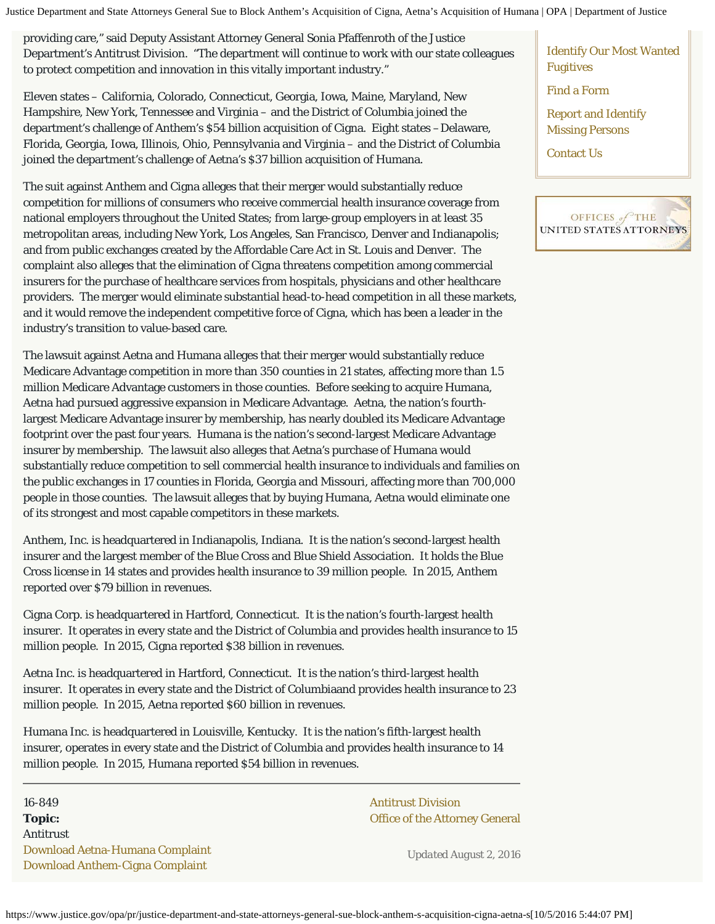Justice Department and State Attorneys General Sue to Block Anthem's Acquisition of Cigna, Aetna's Acquisition of Humana | OPA | Department of Justice

providing care," said Deputy Assistant Attorney General Sonia Pfaffenroth of the Justice Department's Antitrust Division. "The department will continue to work with our state colleagues to protect competition and innovation in this vitally important industry."

Eleven states – California, Colorado, Connecticut, Georgia, Iowa, Maine, Maryland, New Hampshire, New York, Tennessee and Virginia – and the District of Columbia joined the department's challenge of Anthem's \$54 billion acquisition of Cigna. Eight states –Delaware, Florida, Georgia, Iowa, Illinois, Ohio, Pennsylvania and Virginia – and the District of Columbia joined the department's challenge of Aetna's \$37 billion acquisition of Humana.

The suit against Anthem and Cigna alleges that their merger would substantially reduce competition for millions of consumers who receive commercial health insurance coverage from national employers throughout the United States; from large-group employers in at least 35 metropolitan areas, including New York, Los Angeles, San Francisco, Denver and Indianapolis; and from public exchanges created by the Affordable Care Act in St. Louis and Denver. The complaint also alleges that the elimination of Cigna threatens competition among commercial insurers for the purchase of healthcare services from hospitals, physicians and other healthcare providers. The merger would eliminate substantial head-to-head competition in all these markets, and it would remove the independent competitive force of Cigna, which has been a leader in the industry's transition to value-based care.

The lawsuit against Aetna and Humana alleges that their merger would substantially reduce Medicare Advantage competition in more than 350 counties in 21 states, affecting more than 1.5 million Medicare Advantage customers in those counties. Before seeking to acquire Humana, Aetna had pursued aggressive expansion in Medicare Advantage. Aetna, the nation's fourthlargest Medicare Advantage insurer by membership, has nearly doubled its Medicare Advantage footprint over the past four years. Humana is the nation's second-largest Medicare Advantage insurer by membership. The lawsuit also alleges that Aetna's purchase of Humana would substantially reduce competition to sell commercial health insurance to individuals and families on the public exchanges in 17 counties in Florida, Georgia and Missouri, affecting more than 700,000 people in those counties. The lawsuit alleges that by buying Humana, Aetna would eliminate one of its strongest and most capable competitors in these markets.

Anthem, Inc. is headquartered in Indianapolis, Indiana. It is the nation's second-largest health insurer and the largest member of the Blue Cross and Blue Shield Association. It holds the Blue Cross license in 14 states and provides health insurance to 39 million people. In 2015, Anthem reported over \$79 billion in revenues.

Cigna Corp. is headquartered in Hartford, Connecticut. It is the nation's fourth-largest health insurer. It operates in every state and the District of Columbia and provides health insurance to 15 million people. In 2015, Cigna reported \$38 billion in revenues.

Aetna Inc. is headquartered in Hartford, Connecticut. It is the nation's third-largest health insurer. It operates in every state and the District of Columbiaand provides health insurance to 23 million people. In 2015, Aetna reported \$60 billion in revenues.

Humana Inc. is headquartered in Louisville, Kentucky. It is the nation's fifth-largest health insurer, operates in every state and the District of Columbia and provides health insurance to 14 million people. In 2015, Humana reported \$54 billion in revenues.

16-849 [Antitrust Division](http://www.justice.gov/atr/) **Topic: Constanting Constanting Constanting Constanting Constanting Constanting Constanting Constanting Constanting Constanting Constanting Constanting Constanting Constanting Constanting Constanting Constanting Constant** Antitrust [Download Aetna-Humana Complaint](https://www.justice.gov/opa/file/877881/download) [Download Anthem-Cigna Complaint](https://www.justice.gov/opa/file/877886/download)

*Updated August 2, 2016*

[Identify Our Most Wanted](https://www.justice.gov/actioncenter/most-wanted-fugitives.html) [Fugitives](https://www.justice.gov/actioncenter/most-wanted-fugitives.html)

[Find a Form](https://www.justice.gov/forms/dojform.php)

[Report and Identify](https://www.justice.gov/actioncenter/missing-person.html) [Missing Persons](https://www.justice.gov/actioncenter/missing-person.html)

[Contact Us](https://www.justice.gov/contact-us.html)